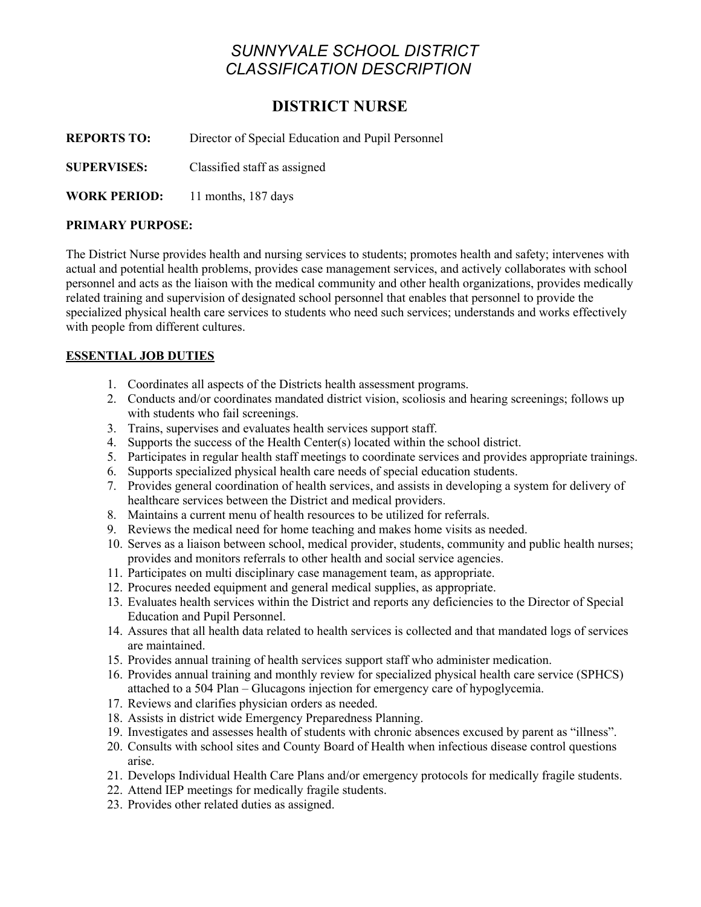# *SUNNYVALE SCHOOL DISTRICT CLASSIFICATION DESCRIPTION*

# **DISTRICT NURSE**

**REPORTS TO:** Director of Special Education and Pupil Personnel

**SUPERVISES:** Classified staff as assigned

**WORK PERIOD:** 11 months, 187 days

## **PRIMARY PURPOSE:**

The District Nurse provides health and nursing services to students; promotes health and safety; intervenes with actual and potential health problems, provides case management services, and actively collaborates with school personnel and acts as the liaison with the medical community and other health organizations, provides medically related training and supervision of designated school personnel that enables that personnel to provide the specialized physical health care services to students who need such services; understands and works effectively with people from different cultures.

# **ESSENTIAL JOB DUTIES**

- 1. Coordinates all aspects of the Districts health assessment programs.
- 2. Conducts and/or coordinates mandated district vision, scoliosis and hearing screenings; follows up with students who fail screenings.
- 3. Trains, supervises and evaluates health services support staff.
- 4. Supports the success of the Health Center(s) located within the school district.
- 5. Participates in regular health staff meetings to coordinate services and provides appropriate trainings.
- 6. Supports specialized physical health care needs of special education students.
- 7. Provides general coordination of health services, and assists in developing a system for delivery of healthcare services between the District and medical providers.
- 8. Maintains a current menu of health resources to be utilized for referrals.
- 9. Reviews the medical need for home teaching and makes home visits as needed.
- 10. Serves as a liaison between school, medical provider, students, community and public health nurses; provides and monitors referrals to other health and social service agencies.
- 11. Participates on multi disciplinary case management team, as appropriate.
- 12. Procures needed equipment and general medical supplies, as appropriate.
- 13. Evaluates health services within the District and reports any deficiencies to the Director of Special Education and Pupil Personnel.
- 14. Assures that all health data related to health services is collected and that mandated logs of services are maintained.
- 15. Provides annual training of health services support staff who administer medication.
- 16. Provides annual training and monthly review for specialized physical health care service (SPHCS) attached to a 504 Plan – Glucagons injection for emergency care of hypoglycemia.
- 17. Reviews and clarifies physician orders as needed.
- 18. Assists in district wide Emergency Preparedness Planning.
- 19. Investigates and assesses health of students with chronic absences excused by parent as "illness".
- 20. Consults with school sites and County Board of Health when infectious disease control questions arise.
- 21. Develops Individual Health Care Plans and/or emergency protocols for medically fragile students.
- 22. Attend IEP meetings for medically fragile students.
- 23. Provides other related duties as assigned.